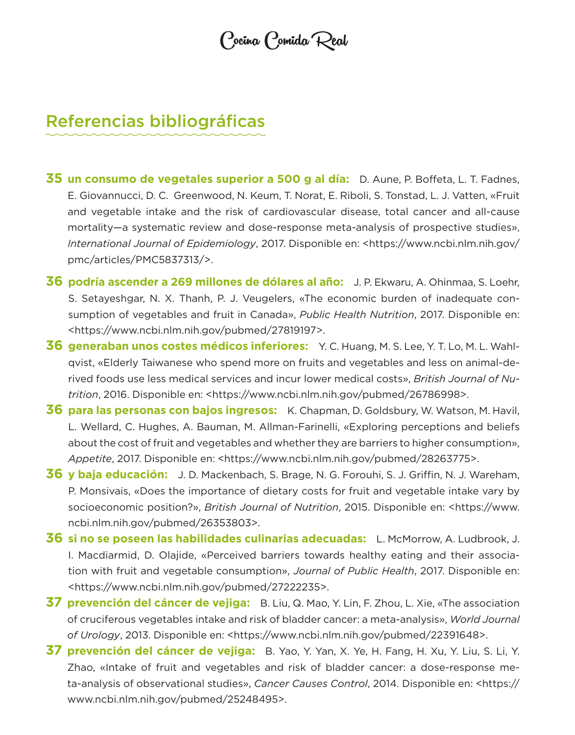Cocina Comida Real

## Referencias bibliográficas

- **35 un consumo de vegetales superior a 500 g al día:** D. Aune, P. Boffeta, L. T. Fadnes, E. Giovannucci, D. C. Greenwood, N. Keum, T. Norat, E. Riboli, S. Tonstad, L. J. Vatten, «Fruit and vegetable intake and the risk of cardiovascular disease, total cancer and all-cause mortality—a systematic review and dose-response meta-analysis of prospective studies», *International Journal of Epidemiology*, 2017. Disponible en: <https://www.ncbi.nlm.nih.gov/ pmc/articles/PMC5837313/>.
- **36 podría ascender a 269 millones de dólares al año:** J. P. Ekwaru, A. Ohinmaa, S. Loehr, S. Setayeshgar, N. X. Thanh, P. J. Veugelers, «The economic burden of inadequate consumption of vegetables and fruit in Canada», *Public Health Nutrition*, 2017. Disponible en: <https://www.ncbi.nlm.nih.gov/pubmed/27819197>.
- **36 generaban unos costes médicos inferiores:** Y. C. Huang, M. S. Lee, Y. T. Lo, M. L. Wahlqvist, «Elderly Taiwanese who spend more on fruits and vegetables and less on animal-derived foods use less medical services and incur lower medical costs», *British Journal of Nutrition*, 2016. Disponible en: <https://www.ncbi.nlm.nih.gov/pubmed/26786998>.
- **36 para las personas con bajos ingresos:** K. Chapman, D. Goldsbury, W. Watson, M. Havil, L. Wellard, C. Hughes, A. Bauman, M. Allman-Farinelli, «Exploring perceptions and beliefs about the cost of fruit and vegetables and whether they are barriers to higher consumption», *Appetite*, 2017. Disponible en: <https://www.ncbi.nlm.nih.gov/pubmed/28263775>.
- **36 y baja educación:** J. D. Mackenbach, S. Brage, N. G. Forouhi, S. J. Griffin, N. J. Wareham, P. Monsivais, «Does the importance of dietary costs for fruit and vegetable intake vary by socioeconomic position?», *British Journal of Nutrition*, 2015. Disponible en: <https://www. ncbi.nlm.nih.gov/pubmed/26353803>.
- **36 si no se poseen las habilidades culinarias adecuadas:** L. McMorrow, A. Ludbrook, J. I. Macdiarmid, D. Olajide, «Perceived barriers towards healthy eating and their association with fruit and vegetable consumption», *Journal of Public Health*, 2017. Disponible en: <https://www.ncbi.nlm.nih.gov/pubmed/27222235>.
- **37 prevención del cáncer de vejiga:** B. Liu, Q. Mao, Y. Lin, F. Zhou, L. Xie, «The association of cruciferous vegetables intake and risk of bladder cancer: a meta-analysis», *World Journal of Urology*, 2013. Disponible en: <https://www.ncbi.nlm.nih.gov/pubmed/22391648>.
- **37 prevención del cáncer de vejiga:** B. Yao, Y. Yan, X. Ye, H. Fang, H. Xu, Y. Liu, S. Li, Y. Zhao, «Intake of fruit and vegetables and risk of bladder cancer: a dose-response meta-analysis of observational studies», *Cancer Causes Control*, 2014. Disponible en: <https:// www.ncbi.nlm.nih.gov/pubmed/25248495>.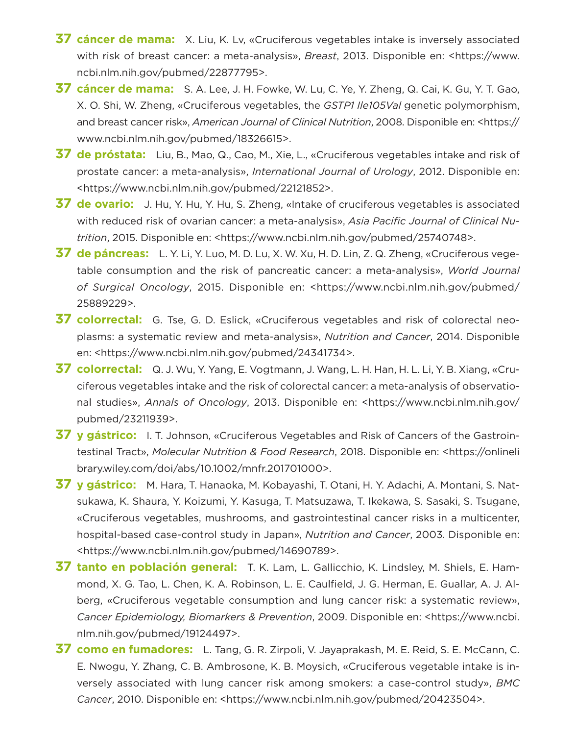- **37 cáncer de mama:** X. Liu, K. Lv, «Cruciferous vegetables intake is inversely associated with risk of breast cancer: a meta-analysis», *Breast*, 2013. Disponible en: <https://www. ncbi.nlm.nih.gov/pubmed/22877795>.
- **37 cáncer de mama:** S. A. Lee, J. H. Fowke, W. Lu, C. Ye, Y. Zheng, Q. Cai, K. Gu, Y. T. Gao, X. O. Shi, W. Zheng, «Cruciferous vegetables, the *GSTP1 Ile105Val* genetic polymorphism, and breast cancer risk», *American Journal of Clinical Nutrition*, 2008. Disponible en: <https:// www.ncbi.nlm.nih.gov/pubmed/18326615>.
- **37 de próstata:** Liu, B., Mao, Q., Cao, M., Xie, L., «Cruciferous vegetables intake and risk of prostate cancer: a meta-analysis», *International Journal of Urology*, 2012. Disponible en: <https://www.ncbi.nlm.nih.gov/pubmed/22121852>.
- **37 de ovario:** J. Hu, Y. Hu, Y. Hu, S. Zheng, «Intake of cruciferous vegetables is associated with reduced risk of ovarian cancer: a meta-analysis», *Asia Pacific Journal of Clinical Nutrition*, 2015. Disponible en: <https://www.ncbi.nlm.nih.gov/pubmed/25740748>.
- **37 de páncreas:** L. Y. Li, Y. Luo, M. D. Lu, X. W. Xu, H. D. Lin, Z. Q. Zheng, «Cruciferous vegetable consumption and the risk of pancreatic cancer: a meta-analysis», *World Journal of Surgical Oncology*, 2015. Disponible en: <https://www.ncbi.nlm.nih.gov/pubmed/ 25889229>.
- **37 colorrectal:** G. Tse, G. D. Eslick, «Cruciferous vegetables and risk of colorectal neoplasms: a systematic review and meta-analysis», *Nutrition and Cancer*, 2014. Disponible en: <https://www.ncbi.nlm.nih.gov/pubmed/24341734>.
- **37 colorrectal:** Q. J. Wu, Y. Yang, E. Vogtmann, J. Wang, L. H. Han, H. L. Li, Y. B. Xiang, «Cruciferous vegetables intake and the risk of colorectal cancer: a meta-analysis of observational studies», *Annals of Oncology*, 2013. Disponible en: <https://www.ncbi.nlm.nih.gov/ pubmed/23211939>.
- **37 y gástrico:** I. T. Johnson, «Cruciferous Vegetables and Risk of Cancers of the Gastrointestinal Tract», *Molecular Nutrition & Food Research*, 2018. Disponible en: <https://onlineli brary.wiley.com/doi/abs/10.1002/mnfr.201701000>.
- **37 y gástrico:** M. Hara, T. Hanaoka, M. Kobayashi, T. Otani, H. Y. Adachi, A. Montani, S. Natsukawa, K. Shaura, Y. Koizumi, Y. Kasuga, T. Matsuzawa, T. Ikekawa, S. Sasaki, S. Tsugane, «Cruciferous vegetables, mushrooms, and gastrointestinal cancer risks in a multicenter, hospital-based case-control study in Japan», *Nutrition and Cancer*, 2003. Disponible en: <https://www.ncbi.nlm.nih.gov/pubmed/14690789>.
- **37 tanto en población general:** T. K. Lam, L. Gallicchio, K. Lindsley, M. Shiels, E. Hammond, X. G. Tao, L. Chen, K. A. Robinson, L. E. Caulfield, J. G. Herman, E. Guallar, A. J. Alberg, «Cruciferous vegetable consumption and lung cancer risk: a systematic review», *Cancer Epidemiology, Biomarkers & Prevention*, 2009. Disponible en: <https://www.ncbi. nlm.nih.gov/pubmed/19124497>.
- **37 como en fumadores:** L. Tang, G. R. Zirpoli, V. Jayaprakash, M. E. Reid, S. E. McCann, C. E. Nwogu, Y. Zhang, C. B. Ambrosone, K. B. Moysich, «Cruciferous vegetable intake is inversely associated with lung cancer risk among smokers: a case-control study», *BMC Cancer*, 2010. Disponible en: <https://www.ncbi.nlm.nih.gov/pubmed/20423504>.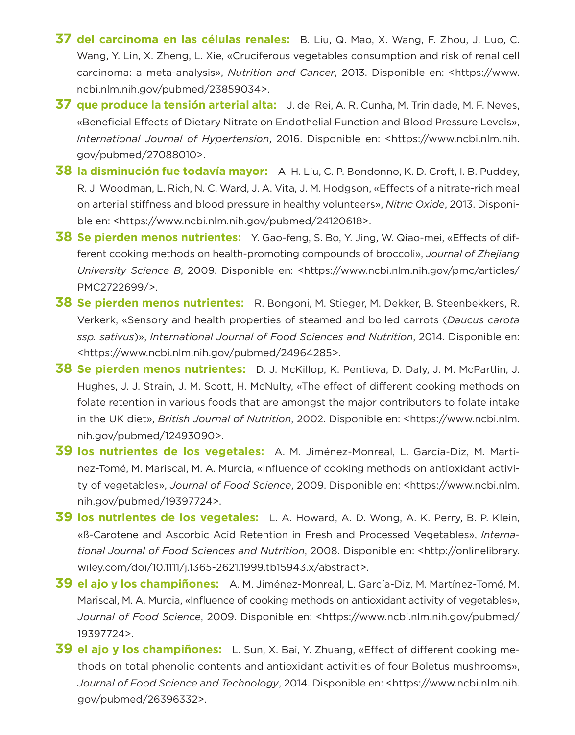- **37 del carcinoma en las células renales:** B. Liu, Q. Mao, X. Wang, F. Zhou, J. Luo, C. Wang, Y. Lin, X. Zheng, L. Xie, «Cruciferous vegetables consumption and risk of renal cell carcinoma: a meta-analysis», *Nutrition and Cancer*, 2013. Disponible en: <https://www. ncbi.nlm.nih.gov/pubmed/23859034>.
- **37 que produce la tensión arterial alta:** J. del Rei, A. R. Cunha, M. Trinidade, M. F. Neves, «Beneficial Effects of Dietary Nitrate on Endothelial Function and Blood Pressure Levels», *International Journal of Hypertension*, 2016. Disponible en: <https://www.ncbi.nlm.nih. gov/pubmed/27088010>.
- **38 la disminución fue todavía mayor:** A. H. Liu, C. P. Bondonno, K. D. Croft, I. B. Puddey, R. J. Woodman, L. Rich, N. C. Ward, J. A. Vita, J. M. Hodgson, «Effects of a nitrate-rich meal on arterial stiffness and blood pressure in healthy volunteers», *Nitric Oxide*, 2013. Disponible en: <https://www.ncbi.nlm.nih.gov/pubmed/24120618>.
- **38 Se pierden menos nutrientes:** Y. Gao-feng, S. Bo, Y. Jing, W. Qiao-mei, «Effects of different cooking methods on health-promoting compounds of broccoli», *Journal of Zhejiang University Science B*, 2009. Disponible en: <https://www.ncbi.nlm.nih.gov/pmc/articles/ PMC2722699/>.
- **38 Se pierden menos nutrientes:** R. Bongoni, M. Stieger, M. Dekker, B. Steenbekkers, R. Verkerk, «Sensory and health properties of steamed and boiled carrots (*Daucus carota ssp. sativus*)», *International Journal of Food Sciences and Nutrition*, 2014. Disponible en: <https://www.ncbi.nlm.nih.gov/pubmed/24964285>.
- **38 Se pierden menos nutrientes:** D. J. McKillop, K. Pentieva, D. Daly, J. M. McPartlin, J. Hughes, J. J. Strain, J. M. Scott, H. McNulty, «The effect of different cooking methods on folate retention in various foods that are amongst the major contributors to folate intake in the UK diet», *British Journal of Nutrition*, 2002. Disponible en: <https://www.ncbi.nlm. nih.gov/pubmed/12493090>.
- **39 los nutrientes de los vegetales:** A. M. Jiménez-Monreal, L. García-Diz, M. Martínez-Tomé, M. Mariscal, M. A. Murcia, «Influence of cooking methods on antioxidant activity of vegetables», *Journal of Food Science*, 2009. Disponible en: <https://www.ncbi.nlm. nih.gov/pubmed/19397724>.
- **39 los nutrientes de los vegetales:** L. A. Howard, A. D. Wong, A. K. Perry, B. P. Klein, «ß-Carotene and Ascorbic Acid Retention in Fresh and Processed Vegetables», *International Journal of Food Sciences and Nutrition*, 2008. Disponible en: <http://onlinelibrary. wiley.com/doi/10.1111/j.1365-2621.1999.tb15943.x/abstract>.
- **39 el ajo y los champiñones:** A. M. Jiménez-Monreal, L. García-Diz, M. Martínez-Tomé, M. Mariscal, M. A. Murcia, «Influence of cooking methods on antioxidant activity of vegetables», *Journal of Food Science*, 2009. Disponible en: <https://www.ncbi.nlm.nih.gov/pubmed/ 19397724>.
- **39 el ajo y los champiñones:** L. Sun, X. Bai, Y. Zhuang, «Effect of different cooking methods on total phenolic contents and antioxidant activities of four Boletus mushrooms», *Journal of Food Science and Technology*, 2014. Disponible en: <https://www.ncbi.nlm.nih. gov/pubmed/26396332>.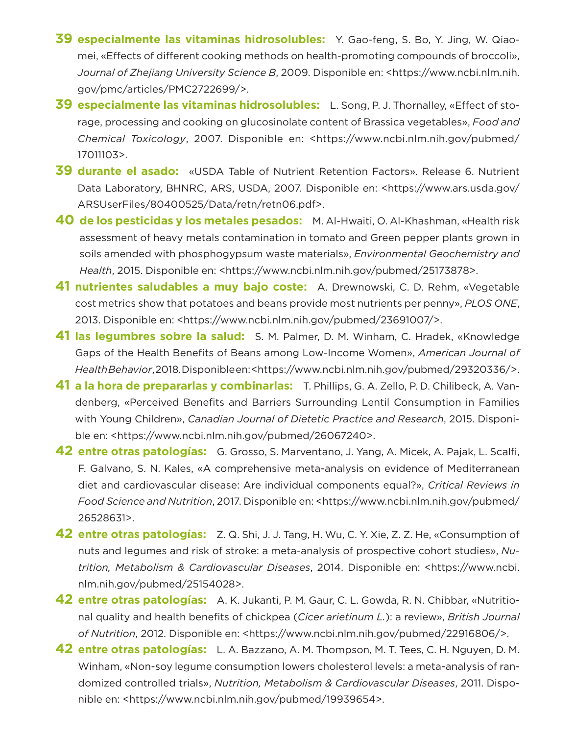- **39 especialmente las vitaminas hidrosolubles:** Y. Gao-feng, S. Bo, Y. Jing, W. Qiaomei, «Effects of different cooking methods on health-promoting compounds of broccoli», *Journal of Zhejiang University Science B*, 2009. Disponible en: <https://www.ncbi.nlm.nih. gov/pmc/articles/PMC2722699/>.
- **39 especialmente las vitaminas hidrosolubles:** L. Song, P. J. Thornalley, «Effect of storage, processing and cooking on glucosinolate content of Brassica vegetables», *Food and Chemical Toxicology*, 2007. Disponible en: <https://www.ncbi.nlm.nih.gov/pubmed/ 17011103>.
- **39 durante el asado:** «USDA Table of Nutrient Retention Factors». Release 6. Nutrient Data Laboratory, BHNRC, ARS, USDA, 2007. Disponible en: <https://www.ars.usda.gov/ ARSUserFiles/80400525/Data/retn/retn06.pdf>.
- **40 de los pesticidas y los metales pesados:** M. Al-Hwaiti, O. Al-Khashman, «Health risk assessment of heavy metals contamination in tomato and Green pepper plants grown in soils amended with phosphogypsum waste materials», *Environmental Geochemistry and Health*, 2015. Disponible en: <https://www.ncbi.nlm.nih.gov/pubmed/25173878>.
- **41 nutrientes saludables a muy bajo coste:** A. Drewnowski, C. D. Rehm, «Vegetable cost metrics show that potatoes and beans provide most nutrients per penny», *PLOS ONE*, 2013. Disponible en: <https://www.ncbi.nlm.nih.gov/pubmed/23691007/>.
- **41 las legumbres sobre la salud:** S. M. Palmer, D. M. Winham, C. Hradek, «Knowledge Gaps of the Health Benefits of Beans among Low-Income Women», *American Journal of Health Behavior*, 2018. Disponible en: <https://www.ncbi.nlm.nih.gov/pubmed/29320336/>.
- **41 a la hora de prepararlas y combinarlas:** T. Phillips, G. A. Zello, P. D. Chilibeck, A. Vandenberg, «Perceived Benefits and Barriers Surrounding Lentil Consumption in Families with Young Children», *Canadian Journal of Dietetic Practice and Research*, 2015. Disponible en: <https://www.ncbi.nlm.nih.gov/pubmed/26067240>.
- **42 entre otras patologías:** G. Grosso, S. Marventano, J. Yang, A. Micek, A. Pajak, L. Scalfi, F. Galvano, S. N. Kales, «A comprehensive meta-analysis on evidence of Mediterranean diet and cardiovascular disease: Are individual components equal?», *Critical Reviews in Food Science and Nutrition*, 2017. Disponible en: <https://www.ncbi.nlm.nih.gov/pubmed/ 26528631>.
- **42 entre otras patologías:** Z. Q. Shi, J. J. Tang, H. Wu, C. Y. Xie, Z. Z. He, «Consumption of nuts and legumes and risk of stroke: a meta-analysis of prospective cohort studies», *Nutrition, Metabolism & Cardiovascular Diseases*, 2014. Disponible en: <https://www.ncbi. nlm.nih.gov/pubmed/25154028>.
- **42 entre otras patologías:** A. K. Jukanti, P. M. Gaur, C. L. Gowda, R. N. Chibbar, «Nutritional quality and health benefits of chickpea (*Cicer arietinum L.*): a review», *British Journal of Nutrition*, 2012. Disponible en: <https://www.ncbi.nlm.nih.gov/pubmed/22916806/>.
- **42 entre otras patologías:** L. A. Bazzano, A. M. Thompson, M. T. Tees, C. H. Nguyen, D. M. Winham, «Non-soy legume consumption lowers cholesterol levels: a meta-analysis of randomized controlled trials», *Nutrition, Metabolism & Cardiovascular Diseases*, 2011. Disponible en: <https://www.ncbi.nlm.nih.gov/pubmed/19939654>.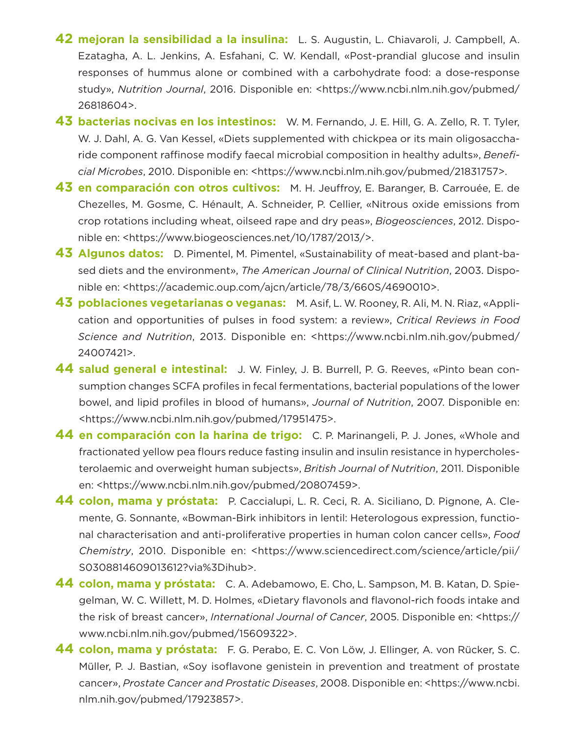- **42 mejoran la sensibilidad a la insulina:** L. S. Augustin, L. Chiavaroli, J. Campbell, A. Ezatagha, A. L. Jenkins, A. Esfahani, C. W. Kendall, «Post-prandial glucose and insulin responses of hummus alone or combined with a carbohydrate food: a dose-response study», *Nutrition Journal*, 2016. Disponible en: <https://www.ncbi.nlm.nih.gov/pubmed/ 26818604>.
- **43 bacterias nocivas en los intestinos:** W. M. Fernando, J. E. Hill, G. A. Zello, R. T. Tyler, W. J. Dahl, A. G. Van Kessel, «Diets supplemented with chickpea or its main oligosaccharide component raffinose modify faecal microbial composition in healthy adults», *Beneficial Microbes*, 2010. Disponible en: <https://www.ncbi.nlm.nih.gov/pubmed/21831757>.
- **43 en comparación con otros cultivos:** M. H. Jeuffroy, E. Baranger, B. Carrouée, E. de Chezelles, M. Gosme, C. Hénault, A. Schneider, P. Cellier, «Nitrous oxide emissions from crop rotations including wheat, oilseed rape and dry peas», *Biogeosciences*, 2012. Disponible en: <https://www.biogeosciences.net/10/1787/2013/>.
- **43 Algunos datos:** D. Pimentel, M. Pimentel, «Sustainability of meat-based and plant-based diets and the environment», *The American Journal of Clinical Nutrition*, 2003. Disponible en: <https://academic.oup.com/ajcn/article/78/3/660S/4690010>.
- **43 poblaciones vegetarianas o veganas:** M. Asif, L. W. Rooney, R. Ali, M. N. Riaz, «Application and opportunities of pulses in food system: a review», *Critical Reviews in Food Science and Nutrition*, 2013. Disponible en: <https://www.ncbi.nlm.nih.gov/pubmed/ 24007421>.
- **44 salud general e intestinal:** J. W. Finley, J. B. Burrell, P. G. Reeves, «Pinto bean consumption changes SCFA profiles in fecal fermentations, bacterial populations of the lower bowel, and lipid profiles in blood of humans», *Journal of Nutrition*, 2007. Disponible en: <https://www.ncbi.nlm.nih.gov/pubmed/17951475>.
- **44 en comparación con la harina de trigo:** C. P. Marinangeli, P. J. Jones, «Whole and fractionated yellow pea flours reduce fasting insulin and insulin resistance in hypercholesterolaemic and overweight human subjects», *British Journal of Nutrition*, 2011. Disponible en: <https://www.ncbi.nlm.nih.gov/pubmed/20807459>.
- **44 colon, mama y próstata:** P. Caccialupi, L. R. Ceci, R. A. Siciliano, D. Pignone, A. Clemente, G. Sonnante, «Bowman-Birk inhibitors in lentil: Heterologous expression, functional characterisation and anti-proliferative properties in human colon cancer cells», *Food Chemistry*, 2010. Disponible en: <https://www.sciencedirect.com/science/article/pii/ S0308814609013612?via%3Dihub>.
- **44 colon, mama y próstata:** C. A. Adebamowo, E. Cho, L. Sampson, M. B. Katan, D. Spiegelman, W. C. Willett, M. D. Holmes, «Dietary flavonols and flavonol-rich foods intake and the risk of breast cancer», *International Journal of Cancer*, 2005. Disponible en: <https:// www.ncbi.nlm.nih.gov/pubmed/15609322>.
- **44 colon, mama y próstata:** F. G. Perabo, E. C. Von Löw, J. Ellinger, A. von Rücker, S. C. Müller, P. J. Bastian, «Soy isoflavone genistein in prevention and treatment of prostate cancer», *Prostate Cancer and Prostatic Diseases*, 2008. Disponible en: <https://www.ncbi. nlm.nih.gov/pubmed/17923857>.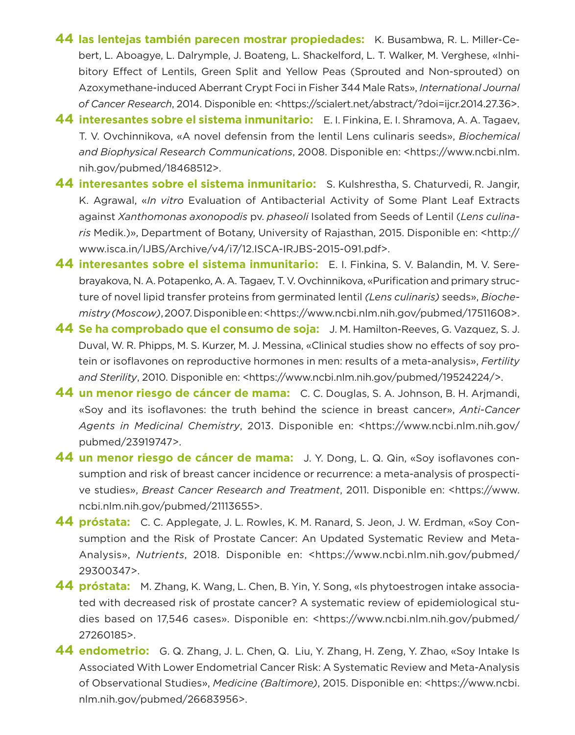- **44 las lentejas también parecen mostrar propiedades:** K. Busambwa, R. L. Miller-Cebert, L. Aboagye, L. Dalrymple, J. Boateng, L. Shackelford, L. T. Walker, M. Verghese, «Inhibitory Effect of Lentils, Green Split and Yellow Peas (Sprouted and Non-sprouted) on Azoxymethane-induced Aberrant Crypt Foci in Fisher 344 Male Rats», *International Journal of Cancer Research*, 2014. Disponible en: <https://scialert.net/abstract/?doi=ijcr.2014.27.36>.
- **44 interesantes sobre el sistema inmunitario:** E. I. Finkina, E. I. Shramova, A. A. Tagaev, T. V. Ovchinnikova, «A novel defensin from the lentil Lens culinaris seeds», *Biochemical and Biophysical Research Communications*, 2008. Disponible en: <https://www.ncbi.nlm. nih.gov/pubmed/18468512>.
- **44 interesantes sobre el sistema inmunitario:** S. Kulshrestha, S. Chaturvedi, R. Jangir, K. Agrawal, «*In vitro* Evaluation of Antibacterial Activity of Some Plant Leaf Extracts against *Xanthomonas axonopodis* pv. *phaseoli* Isolated from Seeds of Lentil (*Lens culinaris* Medik.)», Department of Botany, University of Rajasthan, 2015. Disponible en: <http:// www.isca.in/IJBS/Archive/v4/i7/12.ISCA-IRJBS-2015-091.pdf>.
- **44 interesantes sobre el sistema inmunitario:** E. I. Finkina, S. V. Balandin, M. V. Serebrayakova, N. A. Potapenko, A. A. Tagaev, T. V. Ovchinnikova, «Purification and primary structure of novel lipid transfer proteins from germinated lentil *(Lens culinaris)* seeds», *Biochemistry (Moscow)*, 2007. Disponible en: <https://www.ncbi.nlm.nih.gov/pubmed/17511608>.
- **44 Se ha comprobado que el consumo de soja:** J. M. Hamilton-Reeves, G. Vazquez, S. J. Duval, W. R. Phipps, M. S. Kurzer, M. J. Messina, «Clinical studies show no effects of soy protein or isoflavones on reproductive hormones in men: results of a meta-analysis», *Fertility*  and Sterility, 2010. Disponible en: <https://www.ncbi.nlm.nih.gov/pubmed/19524224/>.
- **44 un menor riesgo de cáncer de mama:** C. C. Douglas, S. A. Johnson, B. H. Arjmandi, «Soy and its isoflavones: the truth behind the science in breast cancer», *Anti-Cancer Agents in Medicinal Chemistry*, 2013. Disponible en: <https://www.ncbi.nlm.nih.gov/ pubmed/23919747>.
- **44 un menor riesgo de cáncer de mama:** J. Y. Dong, L. Q. Qin, «Soy isoflavones consumption and risk of breast cancer incidence or recurrence: a meta-analysis of prospective studies», *Breast Cancer Research and Treatment*, 2011. Disponible en: <https://www. ncbi.nlm.nih.gov/pubmed/21113655>.
- **44 próstata:** C. C. Applegate, J. L. Rowles, K. M. Ranard, S. Jeon, J. W. Erdman, «Soy Consumption and the Risk of Prostate Cancer: An Updated Systematic Review and Meta-Analysis», *Nutrients*, 2018. Disponible en: <https://www.ncbi.nlm.nih.gov/pubmed/ 29300347>.
- **44 próstata:** M. Zhang, K. Wang, L. Chen, B. Yin, Y. Song, «Is phytoestrogen intake associated with decreased risk of prostate cancer? A systematic review of epidemiological studies based on 17,546 cases». Disponible en: <https://www.ncbi.nlm.nih.gov/pubmed/ 27260185>.
- **44 endometrio:** G. Q. Zhang, J. L. Chen, Q. Liu, Y. Zhang, H. Zeng, Y. Zhao, «Soy Intake Is Associated With Lower Endometrial Cancer Risk: A Systematic Review and Meta-Analysis of Observational Studies», *Medicine (Baltimore)*, 2015. Disponible en: <https://www.ncbi. nlm.nih.gov/pubmed/26683956>.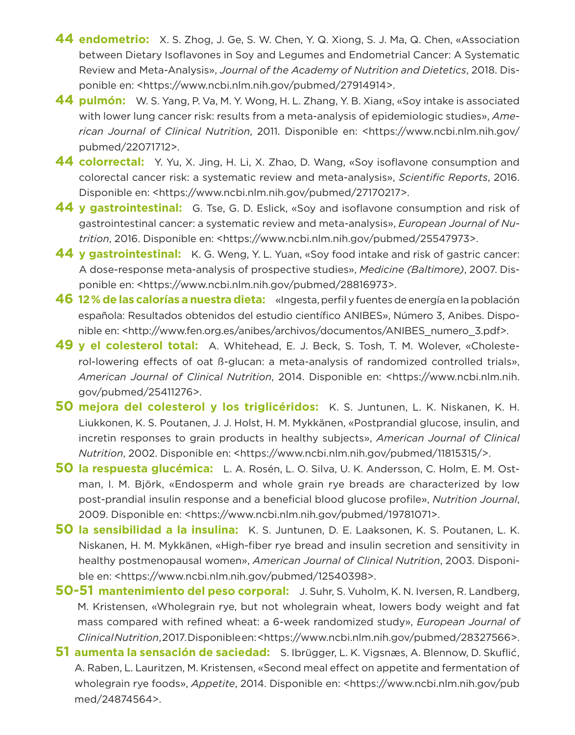- **44 endometrio:** X. S. Zhog, J. Ge, S. W. Chen, Y. Q. Xiong, S. J. Ma, Q. Chen, «Association between Dietary Isoflavones in Soy and Legumes and Endometrial Cancer: A Systematic Review and Meta-Analysis», *Journal of the Academy of Nutrition and Dietetics*, 2018. Disponible en: <https://www.ncbi.nlm.nih.gov/pubmed/27914914>.
- **44 pulmón:** W. S. Yang, P. Va, M. Y. Wong, H. L. Zhang, Y. B. Xiang, «Soy intake is associated with lower lung cancer risk: results from a meta-analysis of epidemiologic studies», *American Journal of Clinical Nutrition*, 2011. Disponible en: <https://www.ncbi.nlm.nih.gov/ pubmed/22071712>.
- **44 colorrectal:** Y. Yu, X. Jing, H. Li, X. Zhao, D. Wang, «Soy isoflavone consumption and colorectal cancer risk: a systematic review and meta-analysis», *Scientific Reports*, 2016. Disponible en: <https://www.ncbi.nlm.nih.gov/pubmed/27170217>.
- **44 y gastrointestinal:** G. Tse, G. D. Eslick, «Soy and isoflavone consumption and risk of gastrointestinal cancer: a systematic review and meta-analysis», *European Journal of Nutrition*, 2016. Disponible en: <https://www.ncbi.nlm.nih.gov/pubmed/25547973>.
- **44 y gastrointestinal:** K. G. Weng, Y. L. Yuan, «Soy food intake and risk of gastric cancer: A dose-response meta-analysis of prospective studies», *Medicine (Baltimore)*, 2007. Disponible en: <https://www.ncbi.nlm.nih.gov/pubmed/28816973>.
- **46 12% de las calorías a nuestra dieta:** «Ingesta, perfil y fuentes de energía en la población española: Resultados obtenidos del estudio científico ANIBES», Número 3, Anibes. Disponible en: <http://www.fen.org.es/anibes/archivos/documentos/ANIBES\_numero\_3.pdf>.
- **49 y el colesterol total:** A. Whitehead, E. J. Beck, S. Tosh, T. M. Wolever, «Cholesterol-lowering effects of oat ß-glucan: a meta-analysis of randomized controlled trials», *American Journal of Clinical Nutrition*, 2014. Disponible en: <https://www.ncbi.nlm.nih. gov/pubmed/25411276>.
- **50 mejora del colesterol y los triglicéridos:** K. S. Juntunen, L. K. Niskanen, K. H. Liukkonen, K. S. Poutanen, J. J. Holst, H. M. Mykkänen, «Postprandial glucose, insulin, and incretin responses to grain products in healthy subjects», *American Journal of Clinical Nutrition*, 2002. Disponible en: <https://www.ncbi.nlm.nih.gov/pubmed/11815315/>.
- **50 la respuesta glucémica:** L. A. Rosén, L. O. Silva, U. K. Andersson, C. Holm, E. M. Ostman, I. M. Björk, «Endosperm and whole grain rye breads are characterized by low post-prandial insulin response and a beneficial blood glucose profile», *Nutrition Journal*, 2009. Disponible en: <https://www.ncbi.nlm.nih.gov/pubmed/19781071>.
- **50 la sensibilidad a la insulina:** K. S. Juntunen, D. E. Laaksonen, K. S. Poutanen, L. K. Niskanen, H. M. Mykkänen, «High-fiber rye bread and insulin secretion and sensitivity in healthy postmenopausal women», *American Journal of Clinical Nutrition*, 2003. Disponible en: <https://www.ncbi.nlm.nih.gov/pubmed/12540398>.
- **50-51 mantenimiento del peso corporal:** J. Suhr, S. Vuholm, K. N. Iversen, R. Landberg, M. Kristensen, «Wholegrain rye, but not wholegrain wheat, lowers body weight and fat mass compared with refined wheat: a 6-week randomized study», *European Journal of Clinical Nutrition*, 2017. Disponible en: <https://www.ncbi.nlm.nih.gov/pubmed/28327566>.
- **51 aumenta la sensación de saciedad:** S. Ibrügger, L. K. Vigsnæs, A. Blennow, D. Skuflic´, A. Raben, L. Lauritzen, M. Kristensen, «Second meal effect on appetite and fermentation of wholegrain rye foods», *Appetite*, 2014. Disponible en: <https://www.ncbi.nlm.nih.gov/pub med/24874564>.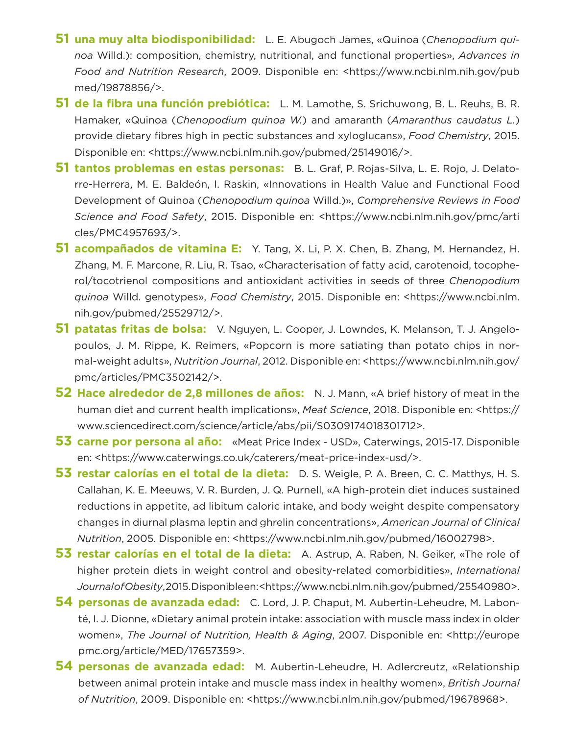- **51 una muy alta biodisponibilidad:** L. E. Abugoch James, «Quinoa (*Chenopodium quinoa* Willd.): composition, chemistry, nutritional, and functional properties», *Advances in Food and Nutrition Research*, 2009. Disponible en: <https://www.ncbi.nlm.nih.gov/pub med/19878856/>.
- **51 de la fibra una función prebiótica:** L. M. Lamothe, S. Srichuwong, B. L. Reuhs, B. R. Hamaker, «Quinoa (*Chenopodium quinoa W.*) and amaranth (*Amaranthus caudatus L.*) provide dietary fibres high in pectic substances and xyloglucans», *Food Chemistry*, 2015. Disponible en: <https://www.ncbi.nlm.nih.gov/pubmed/25149016/>.
- **51 tantos problemas en estas personas:** B. L. Graf, P. Rojas-Silva, L. E. Rojo, J. Delatorre-Herrera, M. E. Baldeón, I. Raskin, «Innovations in Health Value and Functional Food Development of Quinoa (*Chenopodium quinoa* Willd.)», *Comprehensive Reviews in Food Science and Food Safety*, 2015. Disponible en: <https://www.ncbi.nlm.nih.gov/pmc/arti cles/PMC4957693/>.
- **51 acompañados de vitamina E:** Y. Tang, X. Li, P. X. Chen, B. Zhang, M. Hernandez, H. Zhang, M. F. Marcone, R. Liu, R. Tsao, «Characterisation of fatty acid, carotenoid, tocopherol/tocotrienol compositions and antioxidant activities in seeds of three *Chenopodium quinoa* Willd. genotypes», *Food Chemistry*, 2015. Disponible en: <https://www.ncbi.nlm. nih.gov/pubmed/25529712/>.
- **51 patatas fritas de bolsa:** V. Nguyen, L. Cooper, J. Lowndes, K. Melanson, T. J. Angelopoulos, J. M. Rippe, K. Reimers, «Popcorn is more satiating than potato chips in normal-weight adults», *Nutrition Journal*, 2012. Disponible en: <https://www.ncbi.nlm.nih.gov/ pmc/articles/PMC3502142/>.
- **52 Hace alrededor de 2,8 millones de años:** N. J. Mann, «A brief history of meat in the human diet and current health implications», *Meat Science*, 2018. Disponible en: <https:// www.sciencedirect.com/science/article/abs/pii/S0309174018301712>.
- **53 carne por persona al año:** «Meat Price Index USD», Caterwings, 2015-17. Disponible en: <https://www.caterwings.co.uk/caterers/meat-price-index-usd/>.
- **53 restar calorías en el total de la dieta:** D. S. Weigle, P. A. Breen, C. C. Matthys, H. S. Callahan, K. E. Meeuws, V. R. Burden, J. Q. Purnell, «A high-protein diet induces sustained reductions in appetite, ad libitum caloric intake, and body weight despite compensatory changes in diurnal plasma leptin and ghrelin concentrations», *American Journal of Clinical Nutrition*, 2005. Disponible en: <https://www.ncbi.nlm.nih.gov/pubmed/16002798>.
- **53 restar calorías en el total de la dieta:** A. Astrup, A. Raben, N. Geiker, «The role of higher protein diets in weight control and obesity-related comorbidities», *International Journal of Obesity*, 2015. Disponible en: <https://www.ncbi.nlm.nih.gov/pubmed/25540980>.
- **54 personas de avanzada edad:** C. Lord, J. P. Chaput, M. Aubertin-Leheudre, M. Labonté, I. J. Dionne, «Dietary animal protein intake: association with muscle mass index in older women», *The Journal of Nutrition, Health & Aging*, 2007. Disponible en: <http://europe pmc.org/article/MED/17657359>.
- **54 personas de avanzada edad:** M. Aubertin-Leheudre, H. Adlercreutz, «Relationship between animal protein intake and muscle mass index in healthy women», *British Journal of Nutrition*, 2009. Disponible en: <https://www.ncbi.nlm.nih.gov/pubmed/19678968>.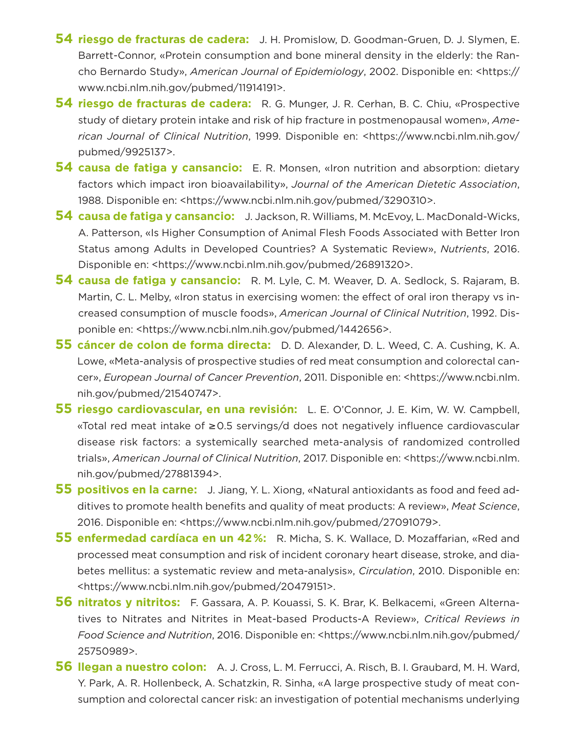- **54 riesgo de fracturas de cadera:** J. H. Promislow, D. Goodman-Gruen, D. J. Slymen, E. Barrett-Connor, «Protein consumption and bone mineral density in the elderly: the Rancho Bernardo Study», *American Journal of Epidemiology*, 2002. Disponible en: <https:// www.ncbi.nlm.nih.gov/pubmed/11914191>.
- **54 riesgo de fracturas de cadera:** R. G. Munger, J. R. Cerhan, B. C. Chiu, «Prospective study of dietary protein intake and risk of hip fracture in postmenopausal women», *American Journal of Clinical Nutrition*, 1999. Disponible en: <https://www.ncbi.nlm.nih.gov/ pubmed/9925137>.
- **54 causa de fatiga y cansancio:** E. R. Monsen, «Iron nutrition and absorption: dietary factors which impact iron bioavailability», *Journal of the American Dietetic Association*, 1988. Disponible en: <https://www.ncbi.nlm.nih.gov/pubmed/3290310>.
- **54 causa de fatiga y cansancio:** J. Jackson, R. Williams, M. McEvoy, L. MacDonald-Wicks, A. Patterson, «Is Higher Consumption of Animal Flesh Foods Associated with Better Iron Status among Adults in Developed Countries? A Systematic Review», *Nutrients*, 2016. Disponible en: <https://www.ncbi.nlm.nih.gov/pubmed/26891320>.
- **54 causa de fatiga y cansancio:** R. M. Lyle, C. M. Weaver, D. A. Sedlock, S. Rajaram, B. Martin, C. L. Melby, «Iron status in exercising women: the effect of oral iron therapy vs increased consumption of muscle foods», *American Journal of Clinical Nutrition*, 1992. Disponible en: <https://www.ncbi.nlm.nih.gov/pubmed/1442656>.
- **55 cáncer de colon de forma directa:** D. D. Alexander, D. L. Weed, C. A. Cushing, K. A. Lowe, «Meta-analysis of prospective studies of red meat consumption and colorectal cancer», *European Journal of Cancer Prevention*, 2011. Disponible en: <https://www.ncbi.nlm. nih.gov/pubmed/21540747>.
- **55 riesgo cardiovascular, en una revisión:** L. E. O'Connor, J. E. Kim, W. W. Campbell, «Total red meat intake of ≥0.5 servings/d does not negatively influence cardiovascular disease risk factors: a systemically searched meta-analysis of randomized controlled trials», *American Journal of Clinical Nutrition*, 2017. Disponible en: <https://www.ncbi.nlm. nih.gov/pubmed/27881394>.
- **55 positivos en la carne:** J. Jiang, Y. L. Xiong, «Natural antioxidants as food and feed additives to promote health benefits and quality of meat products: A review», *Meat Science*, 2016. Disponible en: <https://www.ncbi.nlm.nih.gov/pubmed/27091079>.
- **55 enfermedad cardíaca en un 42%:** R. Micha, S. K. Wallace, D. Mozaffarian, «Red and processed meat consumption and risk of incident coronary heart disease, stroke, and diabetes mellitus: a systematic review and meta-analysis», *Circulation*, 2010. Disponible en: <https://www.ncbi.nlm.nih.gov/pubmed/20479151>.
- **56 nitratos y nitritos:** F. Gassara, A. P. Kouassi, S. K. Brar, K. Belkacemi, «Green Alternatives to Nitrates and Nitrites in Meat-based Products-A Review», *Critical Reviews in Food Science and Nutrition*, 2016. Disponible en: <https://www.ncbi.nlm.nih.gov/pubmed/ 25750989>.
- **56 llegan a nuestro colon:** A. J. Cross, L. M. Ferrucci, A. Risch, B. I. Graubard, M. H. Ward, Y. Park, A. R. Hollenbeck, A. Schatzkin, R. Sinha, «A large prospective study of meat consumption and colorectal cancer risk: an investigation of potential mechanisms underlying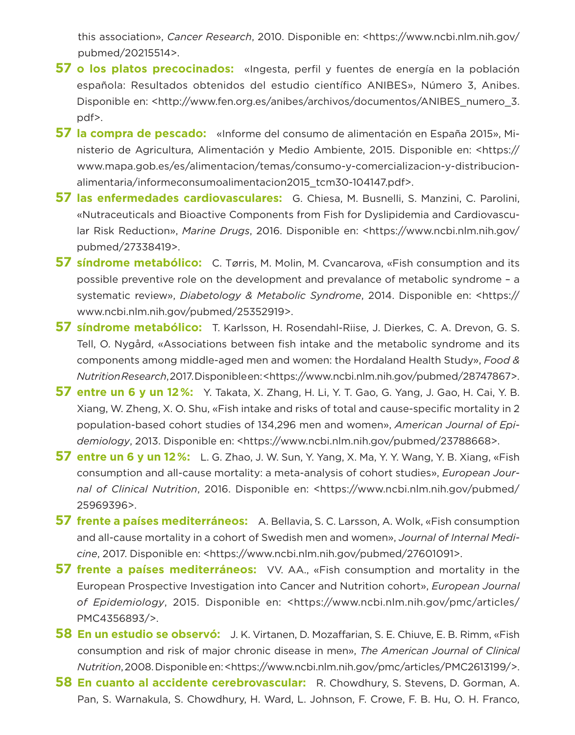this association», *Cancer Research*, 2010. Disponible en: <https://www.ncbi.nlm.nih.gov/ pubmed/20215514>.

- **57 o los platos precocinados:** «Ingesta, perfil y fuentes de energía en la población española: Resultados obtenidos del estudio científico ANIBES», Número 3, Anibes. Disponible en: <http://www.fen.org.es/anibes/archivos/documentos/ANIBES\_numero\_3. pdf>.
- **57 la compra de pescado:** «Informe del consumo de alimentación en España 2015», Ministerio de Agricultura, Alimentación y Medio Ambiente, 2015. Disponible en: <https:// www.mapa.gob.es/es/alimentacion/temas/consumo-y-comercializacion-y-distribucionalimentaria/informeconsumoalimentacion2015\_tcm30-104147.pdf>.
- **57 las enfermedades cardiovasculares:** G. Chiesa, M. Busnelli, S. Manzini, C. Parolini, «Nutraceuticals and Bioactive Components from Fish for Dyslipidemia and Cardiovascular Risk Reduction», *Marine Drugs*, 2016. Disponible en: <https://www.ncbi.nlm.nih.gov/ pubmed/27338419>.
- **57 síndrome metabólico:** C. Tørris, M. Molin, M. Cvancarova, «Fish consumption and its possible preventive role on the development and prevalance of metabolic syndrome – a systematic review», *Diabetology & Metabolic Syndrome*, 2014. Disponible en: <https:// www.ncbi.nlm.nih.gov/pubmed/25352919>.
- **57 síndrome metabólico:** T. Karlsson, H. Rosendahl-Riise, J. Dierkes, C. A. Drevon, G. S. Tell, O. Nygård, «Associations between fish intake and the metabolic syndrome and its components among middle-aged men and women: the Hordaland Health Study», *Food & Nutrition Research*, 2017. Disponible en: <https://www.ncbi.nlm.nih.gov/pubmed/28747867>.
- **57 entre un 6 y un 12%:** Y. Takata, X. Zhang, H. Li, Y. T. Gao, G. Yang, J. Gao, H. Cai, Y. B. Xiang, W. Zheng, X. O. Shu, «Fish intake and risks of total and cause-specific mortality in 2 population-based cohort studies of 134,296 men and women», *American Journal of Epidemiology*, 2013. Disponible en: <https://www.ncbi.nlm.nih.gov/pubmed/23788668>.
- **57 entre un 6 y un 12%:** L. G. Zhao, J. W. Sun, Y. Yang, X. Ma, Y. Y. Wang, Y. B. Xiang, «Fish consumption and all-cause mortality: a meta-analysis of cohort studies», *European Journal of Clinical Nutrition*, 2016. Disponible en: <https://www.ncbi.nlm.nih.gov/pubmed/ 25969396>.
- **57 frente a países mediterráneos:** A. Bellavia, S. C. Larsson, A. Wolk, «Fish consumption and all-cause mortality in a cohort of Swedish men and women», *Journal of Internal Medicine*, 2017. Disponible en: <https://www.ncbi.nlm.nih.gov/pubmed/27601091>.
- **57 frente a países mediterráneos:** VV. AA., «Fish consumption and mortality in the European Prospective Investigation into Cancer and Nutrition cohort», *European Journal of Epidemiology*, 2015. Disponible en: <https://www.ncbi.nlm.nih.gov/pmc/articles/ PMC4356893/>.
- **58 En un estudio se observó:** J. K. Virtanen, D. Mozaffarian, S. E. Chiuve, E. B. Rimm, «Fish consumption and risk of major chronic disease in men», *The American Journal of Clinical Nutrition*, 2008. Disponible en: <https://www.ncbi.nlm.nih.gov/pmc/articles/PMC2613199/>.
- **58 En cuanto al accidente cerebrovascular:** R. Chowdhury, S. Stevens, D. Gorman, A. Pan, S. Warnakula, S. Chowdhury, H. Ward, L. Johnson, F. Crowe, F. B. Hu, O. H. Franco,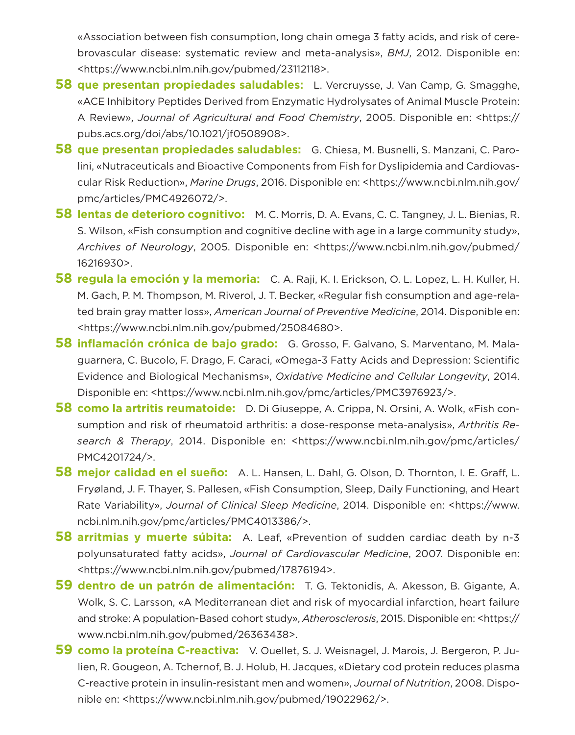«Association between fish consumption, long chain omega 3 fatty acids, and risk of cerebrovascular disease: systematic review and meta-analysis», *BMJ*, 2012. Disponible en: <https://www.ncbi.nlm.nih.gov/pubmed/23112118>.

- **58 que presentan propiedades saludables:** L. Vercruysse, J. Van Camp, G. Smagghe, «ACE Inhibitory Peptides Derived from Enzymatic Hydrolysates of Animal Muscle Protein: A Review», *Journal of Agricultural and Food Chemistry*, 2005. Disponible en: <https:// pubs.acs.org/doi/abs/10.1021/jf0508908>.
- **58 que presentan propiedades saludables:** G. Chiesa, M. Busnelli, S. Manzani, C. Parolini, «Nutraceuticals and Bioactive Components from Fish for Dyslipidemia and Cardiovascular Risk Reduction», *Marine Drugs*, 2016. Disponible en: <https://www.ncbi.nlm.nih.gov/ pmc/articles/PMC4926072/>.
- **58 lentas de deterioro cognitivo:** M. C. Morris, D. A. Evans, C. C. Tangney, J. L. Bienias, R. S. Wilson, «Fish consumption and cognitive decline with age in a large community study», *Archives of Neurology*, 2005. Disponible en: <https://www.ncbi.nlm.nih.gov/pubmed/ 16216930>.
- **58 regula la emoción y la memoria:** C. A. Raji, K. I. Erickson, O. L. Lopez, L. H. Kuller, H. M. Gach, P. M. Thompson, M. Riverol, J. T. Becker, «Regular fish consumption and age-related brain gray matter loss», *American Journal of Preventive Medicine*, 2014. Disponible en: <https://www.ncbi.nlm.nih.gov/pubmed/25084680>.
- **58 inflamación crónica de bajo grado:** G. Grosso, F. Galvano, S. Marventano, M. Malaguarnera, C. Bucolo, F. Drago, F. Caraci, «Omega-3 Fatty Acids and Depression: Scientific Evidence and Biological Mechanisms», *Oxidative Medicine and Cellular Longevity*, 2014. Disponible en: <https://www.ncbi.nlm.nih.gov/pmc/articles/PMC3976923/>.
- **58 como la artritis reumatoide:** D. Di Giuseppe, A. Crippa, N. Orsini, A. Wolk, «Fish consumption and risk of rheumatoid arthritis: a dose-response meta-analysis», *Arthritis Research & Therapy*, 2014. Disponible en: <https://www.ncbi.nlm.nih.gov/pmc/articles/ PMC4201724/>.
- **58 mejor calidad en el sueño:** A. L. Hansen, L. Dahl, G. Olson, D. Thornton, I. E. Graff, L. Fryøland, J. F. Thayer, S. Pallesen, «Fish Consumption, Sleep, Daily Functioning, and Heart Rate Variability», *Journal of Clinical Sleep Medicine*, 2014. Disponible en: <https://www. ncbi.nlm.nih.gov/pmc/articles/PMC4013386/>.
- **58 arritmias y muerte súbita:** A. Leaf, «Prevention of sudden cardiac death by n-3 polyunsaturated fatty acids», *Journal of Cardiovascular Medicine*, 2007. Disponible en: <https://www.ncbi.nlm.nih.gov/pubmed/17876194>.
- **59 dentro de un patrón de alimentación:** T. G. Tektonidis, A. Akesson, B. Gigante, A. Wolk, S. C. Larsson, «A Mediterranean diet and risk of myocardial infarction, heart failure and stroke: A population-Based cohort study», *Atherosclerosis*, 2015. Disponible en: <https:// www.ncbi.nlm.nih.gov/pubmed/26363438>.
- **59 como la proteína C-reactiva:** V. Ouellet, S. J. Weisnagel, J. Marois, J. Bergeron, P. Julien, R. Gougeon, A. Tchernof, B. J. Holub, H. Jacques, «Dietary cod protein reduces plasma C-reactive protein in insulin-resistant men and women», *Journal of Nutrition*, 2008. Disponible en: <https://www.ncbi.nlm.nih.gov/pubmed/19022962/>.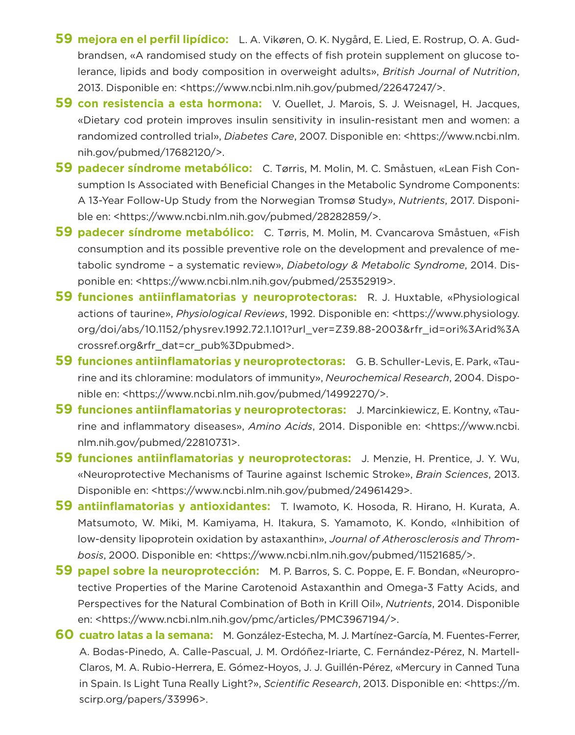- **59 mejora en el perfil lipídico:** L. A. Vikøren, O. K. Nygård, E. Lied, E. Rostrup, O. A. Gudbrandsen, «A randomised study on the effects of fish protein supplement on glucose tolerance, lipids and body composition in overweight adults», *British Journal of Nutrition*, 2013. Disponible en: <https://www.ncbi.nlm.nih.gov/pubmed/22647247/>.
- **59 con resistencia a esta hormona:** V. Ouellet, J. Marois, S. J. Weisnagel, H. Jacques, «Dietary cod protein improves insulin sensitivity in insulin-resistant men and women: a randomized controlled trial», *Diabetes Care*, 2007. Disponible en: <https://www.ncbi.nlm. nih.gov/pubmed/17682120/>.
- **59 padecer síndrome metabólico:** C. Tørris, M. Molin, M. C. Småstuen, «Lean Fish Consumption Is Associated with Beneficial Changes in the Metabolic Syndrome Components: A 13-Year Follow-Up Study from the Norwegian Tromsø Study», *Nutrients*, 2017. Disponible en: <https://www.ncbi.nlm.nih.gov/pubmed/28282859/>.
- **59 padecer síndrome metabólico:** C. Tørris, M. Molin, M. Cvancarova Småstuen, «Fish consumption and its possible preventive role on the development and prevalence of metabolic syndrome – a systematic review», *Diabetology & Metabolic Syndrome*, 2014. Disponible en: <https://www.ncbi.nlm.nih.gov/pubmed/25352919>.
- **59 funciones antiinflamatorias y neuroprotectoras:** R. J. Huxtable, «Physiological actions of taurine», *Physiological Reviews*, 1992. Disponible en: <https://www.physiology. org/doi/abs/10.1152/physrev.1992.72.1.101?url\_ver=Z39.88-2003&rfr\_id=ori%3Arid%3A crossref.org&rfr\_dat=cr\_pub%3Dpubmed>.
- **59 funciones antiinflamatorias y neuroprotectoras:** G. B. Schuller-Levis, E. Park, «Taurine and its chloramine: modulators of immunity», *Neurochemical Research*, 2004. Disponible en: <https://www.ncbi.nlm.nih.gov/pubmed/14992270/>.
- **59 funciones antiinflamatorias y neuroprotectoras:** J. Marcinkiewicz, E. Kontny, «Taurine and inflammatory diseases», *Amino Acids*, 2014. Disponible en: <https://www.ncbi. nlm.nih.gov/pubmed/22810731>.
- **59 funciones antiinflamatorias y neuroprotectoras:** J. Menzie, H. Prentice, J. Y. Wu, «Neuroprotective Mechanisms of Taurine against Ischemic Stroke», *Brain Sciences*, 2013. Disponible en: <https://www.ncbi.nlm.nih.gov/pubmed/24961429>.
- **59 antiinflamatorias y antioxidantes:** T. Iwamoto, K. Hosoda, R. Hirano, H. Kurata, A. Matsumoto, W. Miki, M. Kamiyama, H. Itakura, S. Yamamoto, K. Kondo, «Inhibition of low-density lipoprotein oxidation by astaxanthin», *Journal of Atherosclerosis and Thrombosis*, 2000. Disponible en: <https://www.ncbi.nlm.nih.gov/pubmed/11521685/>.
- **59 papel sobre la neuroprotección:** M. P. Barros, S. C. Poppe, E. F. Bondan, «Neuroprotective Properties of the Marine Carotenoid Astaxanthin and Omega-3 Fatty Acids, and Perspectives for the Natural Combination of Both in Krill Oil», *Nutrients*, 2014. Disponible en: <https://www.ncbi.nlm.nih.gov/pmc/articles/PMC3967194/>.
- **60 cuatro latas a la semana:** M. González-Estecha, M. J. Martínez-García, M. Fuentes-Ferrer, A. Bodas-Pinedo, A. Calle-Pascual, J. M. Ordóñez-Iriarte, C. Fernández-Pérez, N. Martell-Claros, M. A. Rubio-Herrera, E. Gómez-Hoyos, J. J. Guillén-Pérez, «Mercury in Canned Tuna in Spain. Is Light Tuna Really Light?», *Scientific Research*, 2013. Disponible en: <https://m. scirp.org/papers/33996>.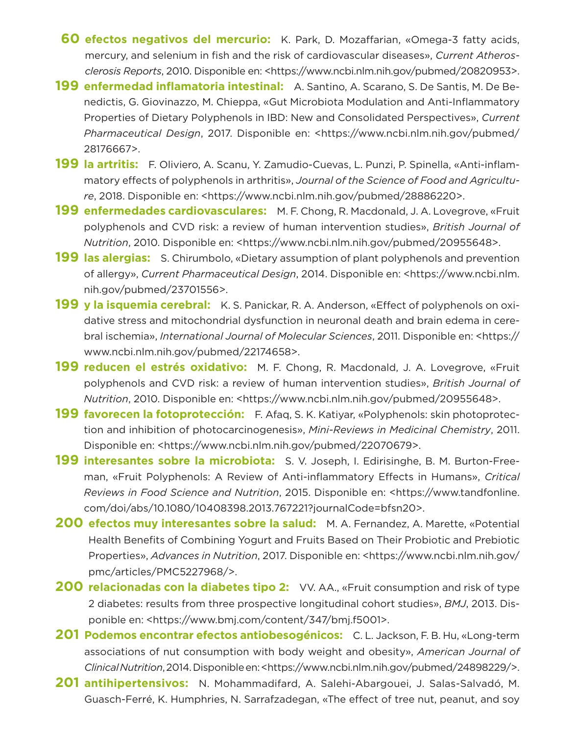- **160 efectos negativos del mercurio:** K. Park, D. Mozaffarian, «Omega-3 fatty acids, mercury, and selenium in fish and the risk of cardiovascular diseases», *Current Atherosclerosis Reports*, 2010. Disponible en: <https://www.ncbi.nlm.nih.gov/pubmed/20820953>.
- **199 enfermedad inflamatoria intestinal:** A. Santino, A. Scarano, S. De Santis, M. De Benedictis, G. Giovinazzo, M. Chieppa, «Gut Microbiota Modulation and Anti-Inflammatory Properties of Dietary Polyphenols in IBD: New and Consolidated Perspectives», *Current Pharmaceutical Design*, 2017. Disponible en: <https://www.ncbi.nlm.nih.gov/pubmed/ 28176667>.
- **199 la artritis:** F. Oliviero, A. Scanu, Y. Zamudio-Cuevas, L. Punzi, P. Spinella, «Anti-inflammatory effects of polyphenols in arthritis», *Journal of the Science of Food and Agriculture*, 2018. Disponible en: <https://www.ncbi.nlm.nih.gov/pubmed/28886220>.
- **199 enfermedades cardiovasculares:** M. F. Chong, R. Macdonald, J. A. Lovegrove, «Fruit polyphenols and CVD risk: a review of human intervention studies», *British Journal of Nutrition*, 2010. Disponible en: <https://www.ncbi.nlm.nih.gov/pubmed/20955648>.
- **199 las alergias:** S. Chirumbolo, «Dietary assumption of plant polyphenols and prevention of allergy», *Current Pharmaceutical Design*, 2014. Disponible en: <https://www.ncbi.nlm. nih.gov/pubmed/23701556>.
- **199 y la isquemia cerebral:** K. S. Panickar, R. A. Anderson, «Effect of polyphenols on oxidative stress and mitochondrial dysfunction in neuronal death and brain edema in cerebral ischemia», *International Journal of Molecular Sciences*, 2011. Disponible en: <https:// www.ncbi.nlm.nih.gov/pubmed/22174658>.
- **199 reducen el estrés oxidativo:** M. F. Chong, R. Macdonald, J. A. Lovegrove, «Fruit polyphenols and CVD risk: a review of human intervention studies», *British Journal of Nutrition*, 2010. Disponible en: <https://www.ncbi.nlm.nih.gov/pubmed/20955648>.
- **199 favorecen la fotoprotección:** F. Afaq, S. K. Katiyar, «Polyphenols: skin photoprotection and inhibition of photocarcinogenesis», *Mini-Reviews in Medicinal Chemistry*, 2011. Disponible en: <https://www.ncbi.nlm.nih.gov/pubmed/22070679>.
- **199 interesantes sobre la microbiota:** S. V. Joseph, I. Edirisinghe, B. M. Burton-Freeman, «Fruit Polyphenols: A Review of Anti-inflammatory Effects in Humans», *Critical Reviews in Food Science and Nutrition*, 2015. Disponible en: <https://www.tandfonline. com/doi/abs/10.1080/10408398.2013.767221?journalCode=bfsn20>.
- **200 efectos muy interesantes sobre la salud:** M. A. Fernandez, A. Marette, «Potential Health Benefits of Combining Yogurt and Fruits Based on Their Probiotic and Prebiotic Properties», *Advances in Nutrition*, 2017. Disponible en: <https://www.ncbi.nlm.nih.gov/ pmc/articles/PMC5227968/>.
- **200 relacionadas con la diabetes tipo 2:** VV. AA., «Fruit consumption and risk of type 2 diabetes: results from three prospective longitudinal cohort studies», *BMJ*, 2013. Disponible en: <https://www.bmj.com/content/347/bmj.f5001>.
- **201 Podemos encontrar efectos antiobesogénicos:** C. L. Jackson, F. B. Hu, «Long-term associations of nut consumption with body weight and obesity», *American Journal of Clinical Nutrition*, 2014. Disponible en: <https://www.ncbi.nlm.nih.gov/pubmed/24898229/>.
- **201 antihipertensivos:** N. Mohammadifard, A. Salehi-Abargouei, J. Salas-Salvadó, M. Guasch-Ferré, K. Humphries, N. Sarrafzadegan, «The effect of tree nut, peanut, and soy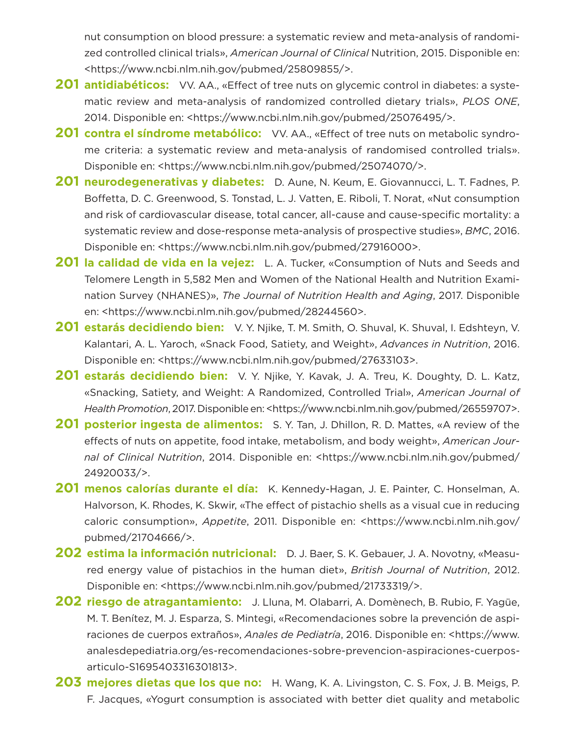nut consumption on blood pressure: a systematic review and meta-analysis of randomized controlled clinical trials», *American Journal of Clinical* Nutrition, 2015. Disponible en: <https://www.ncbi.nlm.nih.gov/pubmed/25809855/>.

- **201 antidiabéticos:** VV. AA., «Effect of tree nuts on glycemic control in diabetes: a systematic review and meta-analysis of randomized controlled dietary trials», *PLOS ONE*, 2014. Disponible en: <https://www.ncbi.nlm.nih.gov/pubmed/25076495/>.
- **201 contra el síndrome metabólico:** VV. AA., «Effect of tree nuts on metabolic syndrome criteria: a systematic review and meta-analysis of randomised controlled trials». Disponible en: <https://www.ncbi.nlm.nih.gov/pubmed/25074070/>.
- **201 neurodegenerativas y diabetes:** D. Aune, N. Keum, E. Giovannucci, L. T. Fadnes, P. Boffetta, D. C. Greenwood, S. Tonstad, L. J. Vatten, E. Riboli, T. Norat, «Nut consumption and risk of cardiovascular disease, total cancer, all-cause and cause-specific mortality: a systematic review and dose-response meta-analysis of prospective studies», *BMC*, 2016. Disponible en: <https://www.ncbi.nlm.nih.gov/pubmed/27916000>.
- **201 la calidad de vida en la vejez:** L. A. Tucker, «Consumption of Nuts and Seeds and Telomere Length in 5,582 Men and Women of the National Health and Nutrition Examination Survey (NHANES)», *The Journal of Nutrition Health and Aging*, 2017. Disponible en: <https://www.ncbi.nlm.nih.gov/pubmed/28244560>.
- **201 estarás decidiendo bien:** V. Y. Njike, T. M. Smith, O. Shuval, K. Shuval, I. Edshteyn, V. Kalantari, A. L. Yaroch, «Snack Food, Satiety, and Weight», *Advances in Nutrition*, 2016. Disponible en: <https://www.ncbi.nlm.nih.gov/pubmed/27633103>.
- **201 estarás decidiendo bien:** V. Y. Njike, Y. Kavak, J. A. Treu, K. Doughty, D. L. Katz, «Snacking, Satiety, and Weight: A Randomized, Controlled Trial», *American Journal of Health Promotion*, 2017. Disponible en: <https://www.ncbi.nlm.nih.gov/pubmed/26559707>.
- **201 posterior ingesta de alimentos:** S. Y. Tan, J. Dhillon, R. D. Mattes, «A review of the effects of nuts on appetite, food intake, metabolism, and body weight», *American Journal of Clinical Nutrition*, 2014. Disponible en: <https://www.ncbi.nlm.nih.gov/pubmed/ 24920033/>.
- **201 menos calorías durante el día:** K. Kennedy-Hagan, J. E. Painter, C. Honselman, A. Halvorson, K. Rhodes, K. Skwir, «The effect of pistachio shells as a visual cue in reducing caloric consumption», *Appetite*, 2011. Disponible en: <https://www.ncbi.nlm.nih.gov/ pubmed/21704666/>.
- **202 estima la información nutricional:** D. J. Baer, S. K. Gebauer, J. A. Novotny, «Measured energy value of pistachios in the human diet», *British Journal of Nutrition*, 2012. Disponible en: <https://www.ncbi.nlm.nih.gov/pubmed/21733319/>.
- **202 riesgo de atragantamiento:** J. Lluna, M. Olabarri, A. Domènech, B. Rubio, F. Yagüe, M. T. Benítez, M. J. Esparza, S. Mintegi, «Recomendaciones sobre la prevención de aspiraciones de cuerpos extraños», *Anales de Pediatría*, 2016. Disponible en: <https://www. analesdepediatria.org/es-recomendaciones-sobre-prevencion-aspiraciones-cuerposarticulo-S1695403316301813>.
- **203 mejores dietas que los que no:** H. Wang, K. A. Livingston, C. S. Fox, J. B. Meigs, P. F. Jacques, «Yogurt consumption is associated with better diet quality and metabolic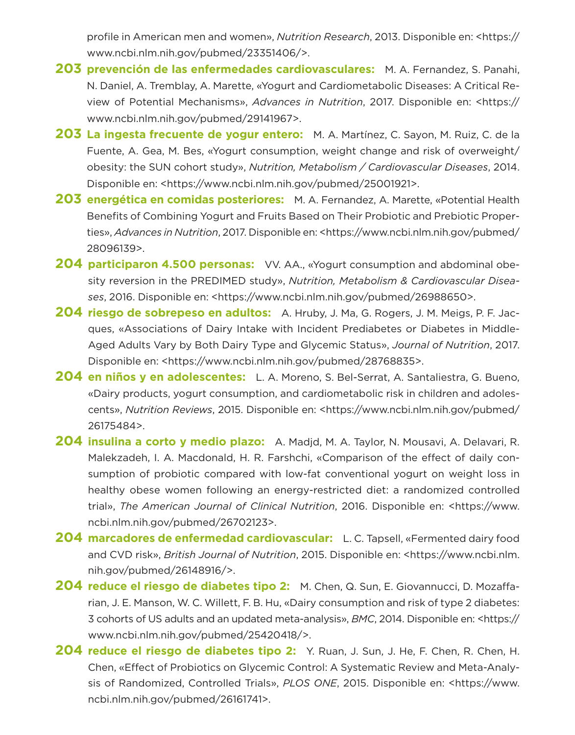profile in American men and women», *Nutrition Research*, 2013. Disponible en: <https:// www.ncbi.nlm.nih.gov/pubmed/23351406/>.

- **203 prevención de las enfermedades cardiovasculares:** M. A. Fernandez, S. Panahi, N. Daniel, A. Tremblay, A. Marette, «Yogurt and Cardiometabolic Diseases: A Critical Review of Potential Mechanisms», *Advances in Nutrition*, 2017. Disponible en: <https:// www.ncbi.nlm.nih.gov/pubmed/29141967>.
- **203 La ingesta frecuente de yogur entero:** M. A. Martínez, C. Sayon, M. Ruiz, C. de la Fuente, A. Gea, M. Bes, «Yogurt consumption, weight change and risk of overweight/ obesity: the SUN cohort study», *Nutrition, Metabolism / Cardiovascular Diseases*, 2014. Disponible en: <https://www.ncbi.nlm.nih.gov/pubmed/25001921>.
- **203 energética en comidas posteriores:** M. A. Fernandez, A. Marette, «Potential Health Benefits of Combining Yogurt and Fruits Based on Their Probiotic and Prebiotic Properties», *Advances in Nutrition*, 2017. Disponible en: <https://www.ncbi.nlm.nih.gov/pubmed/ 28096139>.
- **204 participaron 4.500 personas:** VV. AA., «Yogurt consumption and abdominal obesity reversion in the PREDIMED study», *Nutrition, Metabolism & Cardiovascular Diseases*, 2016. Disponible en: <https://www.ncbi.nlm.nih.gov/pubmed/26988650>.
- **204 riesgo de sobrepeso en adultos:** A. Hruby, J. Ma, G. Rogers, J. M. Meigs, P. F. Jacques, «Associations of Dairy Intake with Incident Prediabetes or Diabetes in Middle-Aged Adults Vary by Both Dairy Type and Glycemic Status», *Journal of Nutrition*, 2017. Disponible en: <https://www.ncbi.nlm.nih.gov/pubmed/28768835>.
- **204 en niños y en adolescentes:** L. A. Moreno, S. Bel-Serrat, A. Santaliestra, G. Bueno, «Dairy products, yogurt consumption, and cardiometabolic risk in children and adolescents», *Nutrition Reviews*, 2015. Disponible en: <https://www.ncbi.nlm.nih.gov/pubmed/ 26175484>.
- **204 insulina a corto y medio plazo:** A. Madjd, M. A. Taylor, N. Mousavi, A. Delavari, R. Malekzadeh, I. A. Macdonald, H. R. Farshchi, «Comparison of the effect of daily consumption of probiotic compared with low-fat conventional yogurt on weight loss in healthy obese women following an energy-restricted diet: a randomized controlled trial», *The American Journal of Clinical Nutrition*, 2016. Disponible en: <https://www. ncbi.nlm.nih.gov/pubmed/26702123>.
- **204 marcadores de enfermedad cardiovascular:** L. C. Tapsell, «Fermented dairy food and CVD risk», *British Journal of Nutrition*, 2015. Disponible en: <https://www.ncbi.nlm. nih.gov/pubmed/26148916/>.
- **204 reduce el riesgo de diabetes tipo 2:** M. Chen, Q. Sun, E. Giovannucci, D. Mozaffarian, J. E. Manson, W. C. Willett, F. B. Hu, «Dairy consumption and risk of type 2 diabetes: 3 cohorts of US adults and an updated meta-analysis», *BMC*, 2014. Disponible en: <https:// www.ncbi.nlm.nih.gov/pubmed/25420418/>.
- **204 reduce el riesgo de diabetes tipo 2:** Y. Ruan, J. Sun, J. He, F. Chen, R. Chen, H. Chen, «Effect of Probiotics on Glycemic Control: A Systematic Review and Meta-Analysis of Randomized, Controlled Trials», *PLOS ONE*, 2015. Disponible en: <https://www. ncbi.nlm.nih.gov/pubmed/26161741>.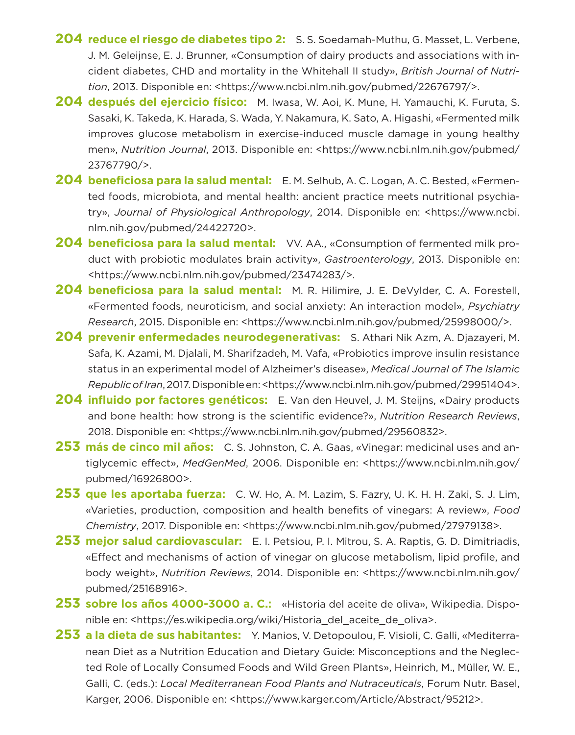- **204 reduce el riesgo de diabetes tipo 2:** S. S. Soedamah-Muthu, G. Masset, L. Verbene, J. M. Geleijnse, E. J. Brunner, «Consumption of dairy products and associations with incident diabetes, CHD and mortality in the Whitehall II study», *British Journal of Nutrition*, 2013. Disponible en: <https://www.ncbi.nlm.nih.gov/pubmed/22676797/>.
- **204 después del ejercicio físico:** M. Iwasa, W. Aoi, K. Mune, H. Yamauchi, K. Furuta, S. Sasaki, K. Takeda, K. Harada, S. Wada, Y. Nakamura, K. Sato, A. Higashi, «Fermented milk improves glucose metabolism in exercise-induced muscle damage in young healthy men», *Nutrition Journal*, 2013. Disponible en: <https://www.ncbi.nlm.nih.gov/pubmed/ 23767790/>.
- **204 beneficiosa para la salud mental:** E. M. Selhub, A. C. Logan, A. C. Bested, «Fermented foods, microbiota, and mental health: ancient practice meets nutritional psychiatry», *Journal of Physiological Anthropology*, 2014. Disponible en: <https://www.ncbi. nlm.nih.gov/pubmed/24422720>.
- **204 beneficiosa para la salud mental:** VV. AA., «Consumption of fermented milk product with probiotic modulates brain activity», *Gastroenterology*, 2013. Disponible en: <https://www.ncbi.nlm.nih.gov/pubmed/23474283/>.
- **204 beneficiosa para la salud mental:** M. R. Hilimire, J. E. DeVylder, C. A. Forestell, «Fermented foods, neuroticism, and social anxiety: An interaction model», *Psychiatry Research*, 2015. Disponible en: <https://www.ncbi.nlm.nih.gov/pubmed/25998000/>.
- **204 prevenir enfermedades neurodegenerativas:** S. Athari Nik Azm, A. Djazayeri, M. Safa, K. Azami, M. Djalali, M. Sharifzadeh, M. Vafa, «Probiotics improve insulin resistance status in an experimental model of Alzheimer's disease», *Medical Journal of The Islamic Republic of Iran*, 2017. Disponible en: <https://www.ncbi.nlm.nih.gov/pubmed/29951404>.
- **204 influido por factores genéticos:** E. Van den Heuvel, J. M. Steijns, «Dairy products and bone health: how strong is the scientific evidence?», *Nutrition Research Reviews*, 2018. Disponible en: <https://www.ncbi.nlm.nih.gov/pubmed/29560832>.
- **253 más de cinco mil años:** C. S. Johnston, C. A. Gaas, «Vinegar: medicinal uses and antiglycemic effect», *MedGenMed*, 2006. Disponible en: <https://www.ncbi.nlm.nih.gov/ pubmed/16926800>.
- **253 que les aportaba fuerza:** C. W. Ho, A. M. Lazim, S. Fazry, U. K. H. H. Zaki, S. J. Lim, «Varieties, production, composition and health benefits of vinegars: A review», *Food Chemistry*, 2017. Disponible en: <https://www.ncbi.nlm.nih.gov/pubmed/27979138>.
- **253 mejor salud cardiovascular:** E. I. Petsiou, P. I. Mitrou, S. A. Raptis, G. D. Dimitriadis, «Effect and mechanisms of action of vinegar on glucose metabolism, lipid profile, and body weight», *Nutrition Reviews*, 2014. Disponible en: <https://www.ncbi.nlm.nih.gov/ pubmed/25168916>.
- **253 sobre los años 4000-3000 a. C.:** «Historia del aceite de oliva», Wikipedia. Disponible en: <https://es.wikipedia.org/wiki/Historia\_del\_aceite\_de\_oliva>.
- **253 a la dieta de sus habitantes:** Y. Manios, V. Detopoulou, F. Visioli, C. Galli, «Mediterranean Diet as a Nutrition Education and Dietary Guide: Misconceptions and the Neglected Role of Locally Consumed Foods and Wild Green Plants», Heinrich, M., Müller, W. E., Galli, C. (eds.): *Local Mediterranean Food Plants and Nutraceuticals*, Forum Nutr. Basel, Karger, 2006. Disponible en: <https://www.karger.com/Article/Abstract/95212>.